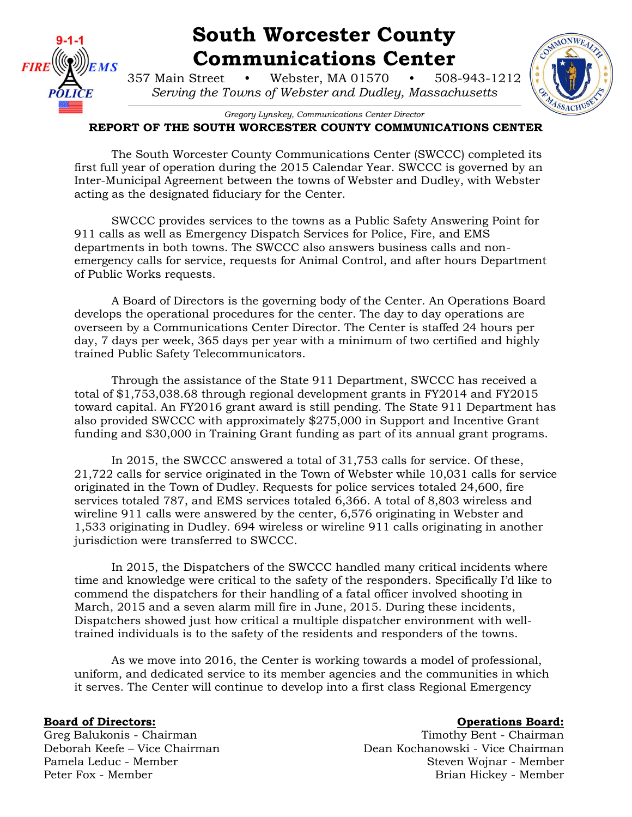

# **South Worcester County Communications Center**

357 Main Street • Webster, MA 01570 • 508-943-1212 *Serving the Towns of Webster and Dudley, Massachusetts*



*Gregory Lynskey, Communications Center Director*

## **REPORT OF THE SOUTH WORCESTER COUNTY COMMUNICATIONS CENTER**

The South Worcester County Communications Center (SWCCC) completed its first full year of operation during the 2015 Calendar Year. SWCCC is governed by an Inter-Municipal Agreement between the towns of Webster and Dudley, with Webster acting as the designated fiduciary for the Center.

SWCCC provides services to the towns as a Public Safety Answering Point for 911 calls as well as Emergency Dispatch Services for Police, Fire, and EMS departments in both towns. The SWCCC also answers business calls and nonemergency calls for service, requests for Animal Control, and after hours Department of Public Works requests.

A Board of Directors is the governing body of the Center. An Operations Board develops the operational procedures for the center. The day to day operations are overseen by a Communications Center Director. The Center is staffed 24 hours per day, 7 days per week, 365 days per year with a minimum of two certified and highly trained Public Safety Telecommunicators.

Through the assistance of the State 911 Department, SWCCC has received a total of \$1,753,038.68 through regional development grants in FY2014 and FY2015 toward capital. An FY2016 grant award is still pending. The State 911 Department has also provided SWCCC with approximately \$275,000 in Support and Incentive Grant funding and \$30,000 in Training Grant funding as part of its annual grant programs.

In 2015, the SWCCC answered a total of 31,753 calls for service. Of these, 21,722 calls for service originated in the Town of Webster while 10,031 calls for service originated in the Town of Dudley. Requests for police services totaled 24,600, fire services totaled 787, and EMS services totaled 6,366. A total of 8,803 wireless and wireline 911 calls were answered by the center, 6,576 originating in Webster and 1,533 originating in Dudley. 694 wireless or wireline 911 calls originating in another jurisdiction were transferred to SWCCC.

In 2015, the Dispatchers of the SWCCC handled many critical incidents where time and knowledge were critical to the safety of the responders. Specifically I'd like to commend the dispatchers for their handling of a fatal officer involved shooting in March, 2015 and a seven alarm mill fire in June, 2015. During these incidents, Dispatchers showed just how critical a multiple dispatcher environment with welltrained individuals is to the safety of the residents and responders of the towns.

As we move into 2016, the Center is working towards a model of professional, uniform, and dedicated service to its member agencies and the communities in which it serves. The Center will continue to develop into a first class Regional Emergency

### **Board of Directors: Constanting Board: Constanting Board: Operations Board: Operations Board: Operations Board: Operations** Board: **Operations** Board: **Operations** Board:

Greg Balukonis - Chairman Timothy Bent - Chairman Creg Balukonis - Chairman Deborah Keefe – Vice Chairman Dean Kochanowski - Vice Chairman Pamela Leduc - Member Steven Wojnar - Member Steven Wojnar - Member Steven Wojnar - Member Peter Fox - Member Brian Hickey - Member Brian Hickey - Member